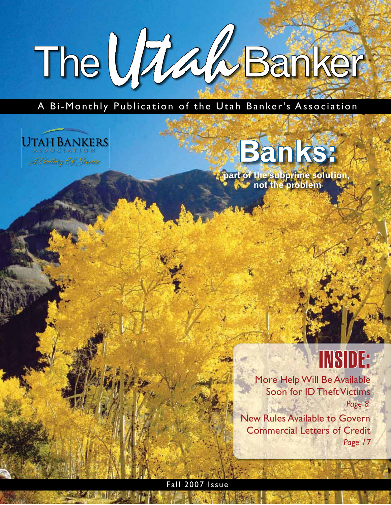# The Utaa Banker

A Bi-Monthly Publication of the Utah Banker's Association

### **UTAH BANKERS**

A Centriny Of Service

# **Banks:**

**part of the subprime solution, not the problem**

### INSIDE:

More Help Will Be Available Soon for ID Theft Victims *Page 8*

New Rules Available to Govern Commercial Letters of Credit *Page 17*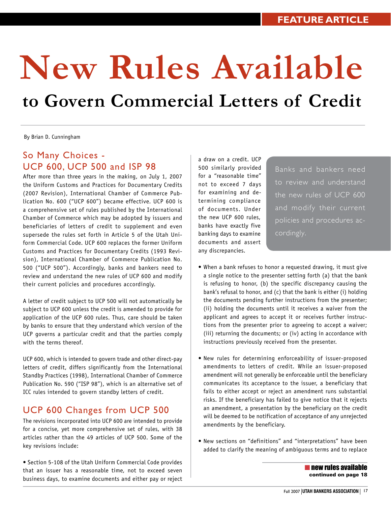## **New Rules Available to Govern Commercial Letters of Credit**

By Brian D. Cunningham

### So Many Choices - UCP 600, UCP 500 and ISP 98

After more than three years in the making, on July 1, 2007 the Uniform Customs and Practices for Documentary Credits (2007 Revision), International Chamber of Commerce Publication No. 600 ("UCP 600") became effective. UCP 600 is a comprehensive set of rules published by the International Chamber of Commerce which may be adopted by issuers and beneficiaries of letters of credit to supplement and even supersede the rules set forth in Article 5 of the Utah Uniform Commercial Code. UCP 600 replaces the former Uniform Customs and Practices for Documentary Credits (1993 Revision), International Chamber of Commerce Publication No. 500 ("UCP 500"). Accordingly, banks and bankers need to review and understand the new rules of UCP 600 and modify their current policies and procedures accordingly.

A letter of credit subject to UCP 500 will not automatically be subject to UCP 600 unless the credit is amended to provide for application of the UCP 600 rules. Thus, care should be taken by banks to ensure that they understand which version of the UCP governs a particular credit and that the parties comply with the terms thereof.

UCP 600, which is intended to govern trade and other direct-pay letters of credit, differs significantly from the International Standby Practices (1998), International Chamber of Commerce Publication No. 590 ("ISP 98"), which is an alternative set of ICC rules intended to govern standby letters of credit.

### UCP 600 Changes from UCP 500

The revisions incorporated into UCP 600 are intended to provide for a concise, yet more comprehensive set of rules, with 38 articles rather than the 49 articles of UCP 500. Some of the key revisions include:

• Section 5-108 of the Utah Uniform Commercial Code provides that an issuer has a reasonable time, not to exceed seven business days, to examine documents and either pay or reject a draw on a credit. UCP 500 similarly provided for a "reasonable time" not to exceed 7 days for examining and determining compliance of documents. Under the new UCP 600 rules, banks have exactly five banking days to examine documents and assert any discrepancies.

Banks and bankers need to review and understand the new rules of UCP 600 and modify their current policies and procedures accordingly.

- When a bank refuses to honor a requested drawing, it must give a single notice to the presenter setting forth (a) that the bank is refusing to honor, (b) the specific discrepancy causing the bank's refusal to honor, and (c) that the bank is either (i) holding the documents pending further instructions from the presenter; (ii) holding the documents until it receives a waiver from the applicant and agrees to accept it or receives further instructions from the presenter prior to agreeing to accept a waiver; (iii) returning the documents; or (iv) acting in accordance with instructions previously received from the presenter.
- New rules for determining enforceability of issuer-proposed amendments to letters of credit. While an issuer-proposed amendment will not generally be enforceable until the beneficiary communicates its acceptance to the issuer, a beneficiary that fails to either accept or reject an amendment runs substantial risks. If the beneficiary has failed to give notice that it rejects an amendment, a presentation by the beneficiary on the credit will be deemed to be notification of acceptance of any unrejected amendments by the beneficiary.
- New sections on "definitions" and "interpretations" have been added to clarify the meaning of ambiguous terms and to replace

■ new rules available continued on page 18